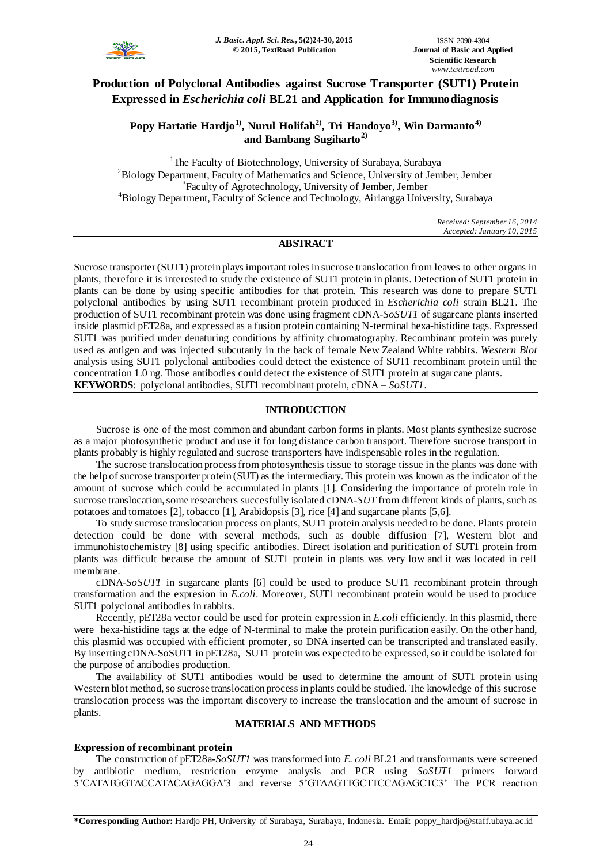

# **Production of Polyclonal Antibodies against Sucrose Transporter (SUT1) Protein Expressed in** *Escherichia coli* **BL21 and Application for Immunodiagnosis**

**Popy Hartatie Hardjo1), Nurul Holifah2) , Tri Handoyo3) , Win Darmanto4) and Bambang Sugiharto2)**

<sup>1</sup>The Faculty of Biotechnology, University of Surabaya, Surabaya <sup>2</sup>Biology Department, Faculty of Mathematics and Science, University of Jember, Jember <sup>3</sup>Faculty of Agrotechnology, University of Jember, Jember <sup>4</sup>Biology Department, Faculty of Science and Technology, Airlangga University, Surabaya

> *Received: September 16, 2014 Accepted: January 10, 2015*

# **ABSTRACT**

Sucrose transporter(SUT1) protein plays important roles in sucrose translocation from leaves to other organs in plants, therefore it is interested to study the existence of SUT1 protein in plants. Detection of SUT1 protein in plants can be done by using specific antibodies for that protein. This research was done to prepare SUT1 polyclonal antibodies by using SUT1 recombinant protein produced in *Escherichia coli* strain BL21. The production of SUT1 recombinant protein was done using fragment cDNA-*SoSUT1* of sugarcane plants inserted inside plasmid pET28a, and expressed as a fusion protein containing N-terminal hexa-histidine tags. Expressed SUT1 was purified under denaturing conditions by affinity chromatography. Recombinant protein was purely used as antigen and was injected subcutanly in the back of female New Zealand White rabbits. *Western Blot* analysis using SUT1 polyclonal antibodies could detect the existence of SUT1 recombinant protein until the concentration 1.0 ng. Those antibodies could detect the existence of SUT1 protein at sugarcane plants. **KEYWORDS**: polyclonal antibodies, SUT1 recombinant protein, cDNA – *SoSUT1*.

# **INTRODUCTION**

Sucrose is one of the most common and abundant carbon forms in plants. Most plants synthesize sucrose as a major photosynthetic product and use it for long distance carbon transport. Therefore sucrose transport in plants probably is highly regulated and sucrose transporters have indispensable roles in the regulation.

The sucrose translocation process from photosynthesis tissue to storage tissue in the plants was done with the help of sucrose transporter protein (SUT) as the intermediary. This protein was known as the indicator of the amount of sucrose which could be accumulated in plants [1]. Considering the importance of protein role in sucrose translocation, some researchers succesfully isolated cDNA-*SUT* from different kinds of plants, such as potatoes and tomatoes [2], tobacco [1], Arabidopsis [3], rice [4] and sugarcane plants [5,6].

To study sucrose translocation process on plants, SUT1 protein analysis needed to be done. Plants protein detection could be done with several methods, such as double diffusion [7], Western blot and immunohistochemistry [8] using specific antibodies. Direct isolation and purification of SUT1 protein from plants was difficult because the amount of SUT1 protein in plants was very low and it was located in cell membrane.

cDNA-*SoSUT1* in sugarcane plants [6] could be used to produce SUT1 recombinant protein through transformation and the expresion in *E.coli*. Moreover, SUT1 recombinant protein would be used to produce SUT1 polyclonal antibodies in rabbits.

Recently, pET28a vector could be used for protein expression in *E.coli* efficiently. In this plasmid, there were hexa-histidine tags at the edge of N-terminal to make the protein purification easily. On the other hand, this plasmid was occupied with efficient promoter, so DNA inserted can be transcripted and translated easily. By inserting cDNA-SoSUT1 in pET28a, SUT1 protein was expected to be expressed, so it could be isolated for the purpose of antibodies production.

The availability of SUT1 antibodies would be used to determine the amount of SUT1 protein using Western blot method, so sucrose translocation process in plants could be studied. The knowledge of this sucrose translocation process was the important discovery to increase the translocation and the amount of sucrose in plants.

# **MATERIALS AND METHODS**

# **Expression of recombinant protein**

The construction of pET28a*-SoSUT1* was transformed into *E. coli* BL21 and transformants were screened by antibiotic medium, restriction enzyme analysis and PCR using *SoSUT1* primers forward 5'CATATGGTACCATACAGAGGA'3 and reverse 5'GTAAGTTGCTTCCAGAGCTC3' The PCR reaction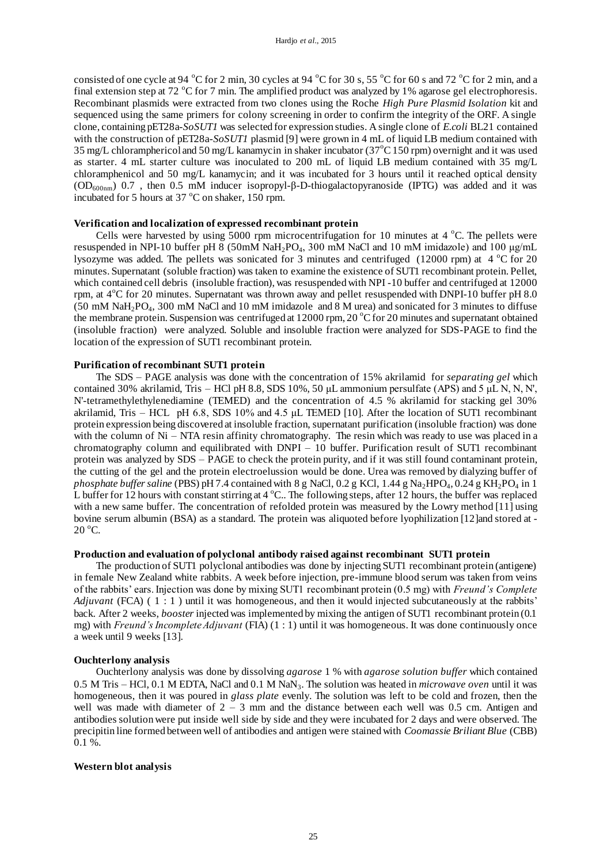consisted of one cycle at 94  $^{\circ}$ C for 2 min, 30 cycles at 94  $^{\circ}$ C for 30 s, 55  $^{\circ}$ C for 60 s and 72  $^{\circ}$ C for 2 min, and a final extension step at 72  $\degree$ C for 7 min. The amplified product was analyzed by 1% agarose gel electrophoresis. Recombinant plasmids were extracted from two clones using the Roche *High Pure Plasmid Isolation* kit and sequenced using the same primers for colony screening in order to confirm the integrity of the ORF. A single clone, containing pET28a-*SoSUT1* was selected for expression studies. A single clone of *E.coli* BL21 contained with the construction of pET28a-*SoSUT1* plasmid [9] were grown in 4 mL of liquid LB medium contained with 35 mg/L chloramphericol and 50 mg/L kanamycin in shaker incubator (37°C 150 rpm) overnight and it was used as starter. 4 mL starter culture was inoculated to 200 mL of liquid LB medium contained with 35 mg/L chloramphenicol and 50 mg/L kanamycin; and it was incubated for 3 hours until it reached optical density (OD600nm) 0.7 , then 0.5 mM inducer isopropyl-β-D-thiogalactopyranoside (IPTG) was added and it was incubated for 5 hours at  $37^{\circ}$ C on shaker, 150 rpm.

#### **Verification and localization of expressed recombinant protein**

Cells were harvested by using  $5000$  rpm microcentrifugation for 10 minutes at 4 °C. The pellets were resuspended in NPI-10 buffer pH 8 (50mM NaH<sub>2</sub>PO<sub>4</sub>, 300 mM NaCl and 10 mM imidazole) and 100  $\mu$ g/mL lysozyme was added. The pellets was sonicated for 3 minutes and centrifuged (12000 rpm) at 4 °C for 20 minutes. Supernatant (soluble fraction) was taken to examine the existence of SUT1 recombinant protein. Pellet, which contained cell debris (insoluble fraction), was resuspended with NPI -10 buffer and centrifuged at 12000 rpm, at 4°C for 20 minutes. Supernatant was thrown away and pellet resuspended with DNPI-10 buffer pH 8.0  $(50 \text{ mM } \text{NaH}_2\text{PO}_4, 300 \text{ mM } \text{NaCl}$  and 10 mM imidazole and 8 M urea) and sonicated for 3 minutes to diffuse the membrane protein. Suspension was centrifuged at  $12000$  rpm,  $20^{\circ}$ C for 20 minutes and supernatant obtained (insoluble fraction) were analyzed. Soluble and insoluble fraction were analyzed for SDS-PAGE to find the location of the expression of SUT1 recombinant protein.

# **Purification of recombinant SUT1 protein**

The SDS – PAGE analysis was done with the concentration of 15% akrilamid for *separating gel* which contained 30% akrilamid, Tris – HCl pH 8.8, SDS 10%, 50 μL ammonium persulfate (APS) and 5 μL N, N, N', N'-tetramethylethylenediamine (TEMED) and the concentration of 4.5 % akrilamid for stacking gel 30% akrilamid, Tris – HCL pH 6.8, SDS 10% and 4.5 μL TEMED [10]. After the location of SUT1 recombinant protein expression being discovered at insoluble fraction, supernatant purification (insoluble fraction) was done with the column of Ni – NTA resin affinity chromatography. The resin which was ready to use was placed in a chromatography column and equilibrated with DNPI – 10 buffer. Purification result of SUT1 recombinant protein was analyzed by SDS – PAGE to check the protein purity, and if it was still found contaminant protein, the cutting of the gel and the protein electroelussion would be done. Urea was removed by dialyzing buffer of phosphate buffer saline (PBS) pH 7.4 contained with 8 g NaCl, 0.2 g KCl, 1.44 g Na<sub>2</sub>HPO<sub>4</sub>, 0.24 g KH<sub>2</sub>PO<sub>4</sub> in 1 L buffer for 12 hours with constant stirring at  $4^{\circ}$ C.. The following steps, after 12 hours, the buffer was replaced with a new same buffer. The concentration of refolded protein was measured by the Lowry method [11] using bovine serum albumin (BSA) as a standard. The protein was aliquoted before lyophilization [12]and stored at -  $20^{\circ}$ C.

# **Production and evaluation of polyclonal antibody raised against recombinant SUT1 protein**

The production of SUT1 polyclonal antibodies was done by injecting SUT1 recombinant protein (antigene) in female New Zealand white rabbits. A week before injection, pre-immune blood serum was taken from veins of the rabbits' ears. Injection was done by mixing SUT1 recombinant protein (0.5 mg) with *Freund's Complete Adjuvant* (FCA) ( 1 : 1 ) until it was homogeneous, and then it would injected subcutaneously at the rabbits' back. After 2 weeks, *booster* injected was implemented by mixing the antigen of SUT1 recombinant protein (0.1 mg) with *Freund's Incomplete Adjuvant* (FIA) (1 : 1) until it was homogeneous. It was done continuously once a week until 9 weeks [13].

#### **Ouchterlony analysis**

Ouchterlony analysis was done by dissolving *agarose* 1 % with *agarose solution buffer* which contained 0.5 M Tris – HCl, 0.1 M EDTA, NaCl and 0.1 M NaN<sub>3</sub>. The solution was heated in *microwave oven* until it was homogeneous, then it was poured in *glass plate* evenly. The solution was left to be cold and frozen, then the well was made with diameter of  $2 - 3$  mm and the distance between each well was 0.5 cm. Antigen and antibodies solution were put inside well side by side and they were incubated for 2 days and were observed. The precipitin line formed between well of antibodies and antigen were stained with *Coomassie Briliant Blue* (CBB) 0.1 %.

#### **Western blot analysis**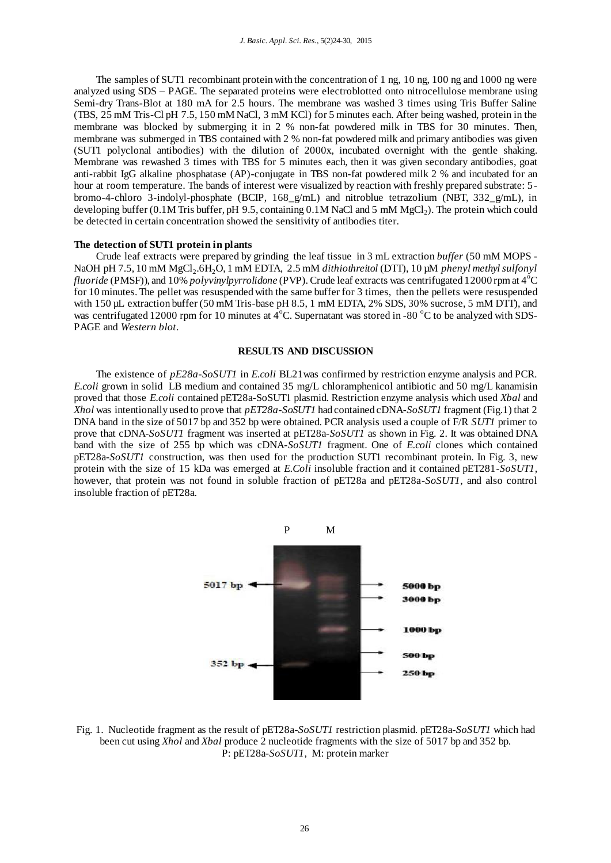The samples of SUT1 recombinant protein with the concentration of 1 ng, 10 ng, 100 ng and 1000 ng were analyzed using SDS – PAGE. The separated proteins were electroblotted onto nitrocellulose membrane using Semi-dry Trans-Blot at 180 mA for 2.5 hours. The membrane was washed 3 times using Tris Buffer Saline (TBS, 25 mM Tris-Cl pH 7.5, 150 mM NaCl, 3 mM KCl) for 5 minutes each. After being washed, protein in the membrane was blocked by submerging it in 2 % non-fat powdered milk in TBS for 30 minutes. Then, membrane was submerged in TBS contained with 2 % non-fat powdered milk and primary antibodies was given (SUT1 polyclonal antibodies) with the dilution of 2000x, incubated overnight with the gentle shaking. Membrane was rewashed 3 times with TBS for 5 minutes each, then it was given secondary antibodies, goat anti-rabbit IgG alkaline phosphatase (AP)-conjugate in TBS non-fat powdered milk 2 % and incubated for an hour at room temperature. The bands of interest were visualized by reaction with freshly prepared substrate: 5 bromo-4-chloro 3-indolyl-phosphate (BCIP, 168\_g/mL) and nitroblue tetrazolium (NBT, 332\_g/mL), in developing buffer (0.1M Tris buffer, pH 9.5, containing 0.1M NaCl and 5 mM MgCl<sub>2</sub>). The protein which could be detected in certain concentration showed the sensitivity of antibodies titer.

#### **The detection of SUT1 protein in plants**

Crude leaf extracts were prepared by grinding the leaf tissue in 3 mL extraction *buffer* (50 mM MOPS - NaOH pH 7.5, 10 mM MgCl<sub>2</sub>.6H<sub>2</sub>O, 1 mM EDTA, 2.5 mM *dithiothreitol* (DTT), 10 µM *phenyl methyl sulfonyl fluoride* (PMSF)), and 10% *polyvinylpyrrolidone* (PVP). Crude leaf extracts was centrifugated 12000 rpm at 4<sup>o</sup>C for 10 minutes. The pellet was resuspended with the same buffer for 3 times, then the pellets were resuspended with 150 µL extraction buffer (50 mM Tris-base pH 8.5, 1 mM EDTA, 2% SDS, 30% sucrose, 5 mM DTT), and was centrifugated 12000 rpm for 10 minutes at  $4^{\circ}$ C. Supernatant was stored in -80  $^{\circ}$ C to be analyzed with SDS-PAGE and *Western blot*.

#### **RESULTS AND DISCUSSION**

The existence of *pE28a-SoSUT1* in *E.coli* BL21was confirmed by restriction enzyme analysis and PCR. *E.coli* grown in solid LB medium and contained 35 mg/L chloramphenicol antibiotic and 50 mg/L kanamisin proved that those *E.coli* contained pET28a-SoSUT1 plasmid. Restriction enzyme analysis which used *Xbal* and *Xhol* was intentionally used to prove that *pET28a-SoSUT1* had contained cDNA-*SoSUT1* fragment (Fig.1) that 2 DNA band in the size of 5017 bp and 352 bp were obtained. PCR analysis used a couple of F/R *SUT1* primer to prove that cDNA-*SoSUT1* fragment was inserted at pET28a-*SoSUT1* as shown in Fig. 2. It was obtained DNA band with the size of 255 bp which was cDNA-*SoSUT1* fragment. One of *E.coli* clones which contained pET28a-*SoSUT1* construction, was then used for the production SUT1 recombinant protein. In Fig. 3, new protein with the size of 15 kDa was emerged at *E.Coli* insoluble fraction and it contained pET281-*SoSUT1*, however, that protein was not found in soluble fraction of pET28a and pET28a-*SoSUT1*, and also control insoluble fraction of pET28a.



Fig. 1. Nucleotide fragment as the result of pET28a-*SoSUT1* restriction plasmid. pET28a-*SoSUT1* which had been cut using *Xhol* and *Xbal* produce 2 nucleotide fragments with the size of 5017 bp and 352 bp. P: pET28a-*SoSUT1*, M: protein marker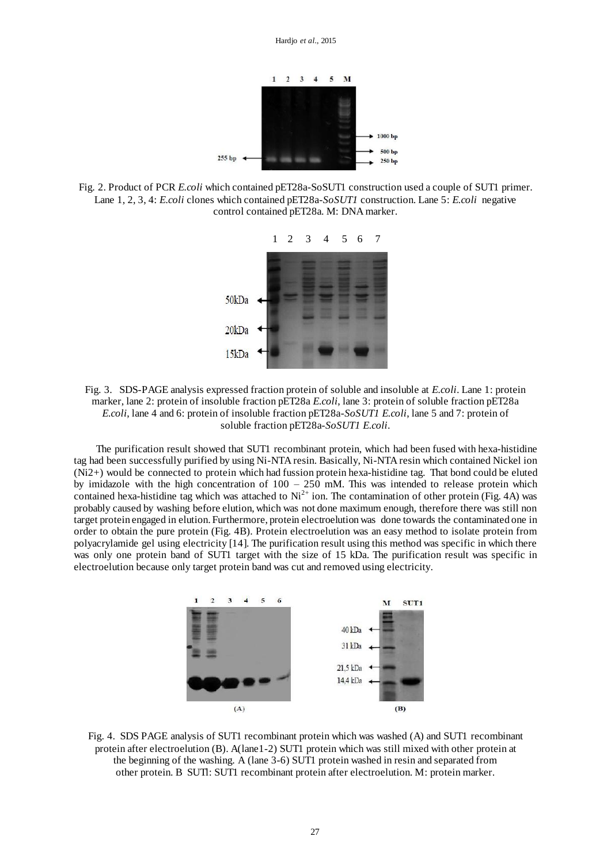

Fig. 2. Product of PCR *E.coli* which contained pET28a-SoSUT1 construction used a couple of SUT1 primer. Lane 1, 2, 3, 4: *E.coli* clones which contained pET28a-*SoSUT1* construction. Lane 5: *E.coli* negative control contained pET28a. M: DNA marker.



Fig. 3. SDS-PAGE analysis expressed fraction protein of soluble and insoluble at *E.coli*. Lane 1: protein marker, lane 2: protein of insoluble fraction pET28a *E.coli*, lane 3: protein of soluble fraction pET28a *E.coli*, lane 4 and 6: protein of insoluble fraction pET28a-*SoSUT1 E.coli*, lane 5 and 7: protein of soluble fraction pET28a-*SoSUT1 E.coli*.

The purification result showed that SUT1 recombinant protein, which had been fused with hexa-histidine tag had been successfully purified by using Ni-NTA resin. Basically, Ni-NTA resin which contained Nickel ion (Ni2+) would be connected to protein which had fussion protein hexa-histidine tag. That bond could be eluted by imidazole with the high concentration of  $100 - 250$  mM. This was intended to release protein which contained hexa-histidine tag which was attached to  $Ni^{2+}$  ion. The contamination of other protein (Fig. 4A) was probably caused by washing before elution, which was not done maximum enough, therefore there was still non target protein engaged in elution. Furthermore, protein electroelution was done towards the contaminated one in order to obtain the pure protein (Fig. 4B). Protein electroelution was an easy method to isolate protein from polyacrylamide gel using electricity [14]. The purification result using this method was specific in which there was only one protein band of SUT1 target with the size of 15 kDa. The purification result was specific in electroelution because only target protein band was cut and removed using electricity.



Fig. 4. SDS PAGE analysis of SUT1 recombinant protein which was washed (A) and SUT1 recombinant protein after electroelution (B). A(lane1-2) SUT1 protein which was still mixed with other protein at the beginning of the washing. A (lane 3-6) SUT1 protein washed in resin and separated from other protein. B SUTl: SUT1 recombinant protein after electroelution. M: protein marker.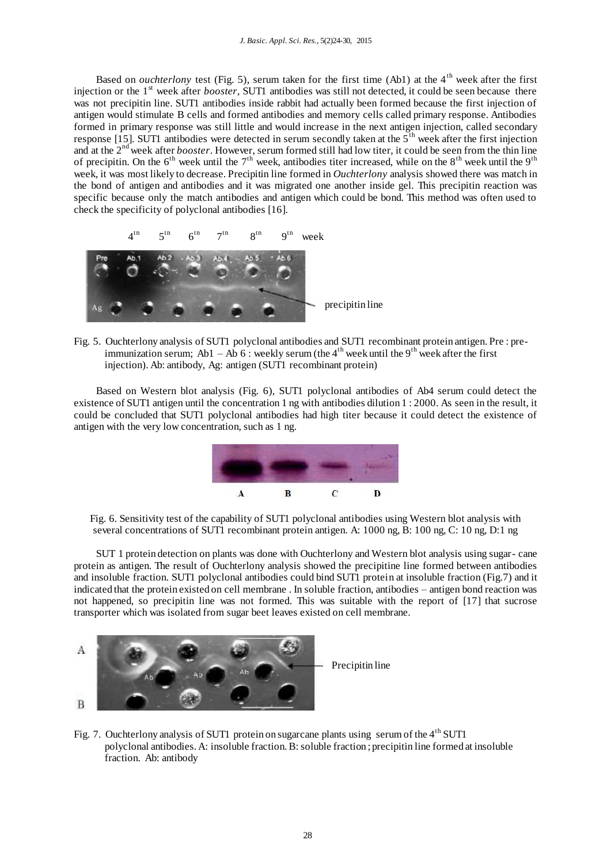Based on *ouchterlony* test (Fig. 5), serum taken for the first time (Ab1) at the 4<sup>th</sup> week after the first injection or the 1<sup>st</sup> week after *booster*, SUT1 antibodies was still not detected, it could be seen because there was not precipitin line. SUT1 antibodies inside rabbit had actually been formed because the first injection of antigen would stimulate B cells and formed antibodies and memory cells called primary response. Antibodies formed in primary response was still little and would increase in the next antigen injection, called secondary response [15]. SUT1 antibodies were detected in serum secondly taken at the  $5<sup>th</sup>$  week after the first injection and at the 2nd week after *booster*. However, serum formed still had low titer, it could be seen from the thin line of precipitin. On the  $6<sup>th</sup>$  week until the  $7<sup>th</sup>$  week, antibodies titer increased, while on the  $8<sup>th</sup>$  week until the  $9<sup>th</sup>$ week, it was most likely to decrease. Precipitin line formed in *Ouchterlony* analysis showed there was match in the bond of antigen and antibodies and it was migrated one another inside gel. This precipitin reaction was specific because only the match antibodies and antigen which could be bond. This method was often used to check the specificity of polyclonal antibodies [16].



Fig. 5. Ouchterlony analysis of SUT1 polyclonal antibodies and SUT1 recombinant protein antigen. Pre : pre immunization serum; Ab1 – Ab 6 : weekly serum (the  $4<sup>th</sup>$  week until the 9<sup>th</sup> week after the first injection). Ab: antibody, Ag: antigen (SUT1 recombinant protein)

Based on Western blot analysis (Fig. 6), SUT1 polyclonal antibodies of Ab4 serum could detect the existence of SUT1 antigen until the concentration 1 ng with antibodies dilution 1 : 2000. As seen in the result, it could be concluded that SUT1 polyclonal antibodies had high titer because it could detect the existence of antigen with the very low concentration, such as 1 ng.





SUT 1 protein detection on plants was done with Ouchterlony and Western blot analysis using sugar- cane protein as antigen. The result of Ouchterlony analysis showed the precipitine line formed between antibodies and insoluble fraction. SUT1 polyclonal antibodies could bind SUT1 protein at insoluble fraction (Fig.7) and it indicated that the protein existed on cell membrane . In soluble fraction, antibodies – antigen bond reaction was not happened, so precipitin line was not formed. This was suitable with the report of [17] that sucrose transporter which was isolated from sugar beet leaves existed on cell membrane.



Fig. 7. Ouchterlony analysis of SUT1 protein on sugarcane plants using serum of the 4<sup>th</sup> SUT1 polyclonal antibodies. A: insoluble fraction. B: soluble fraction ; precipitin line formed at insoluble fraction. Ab: antibody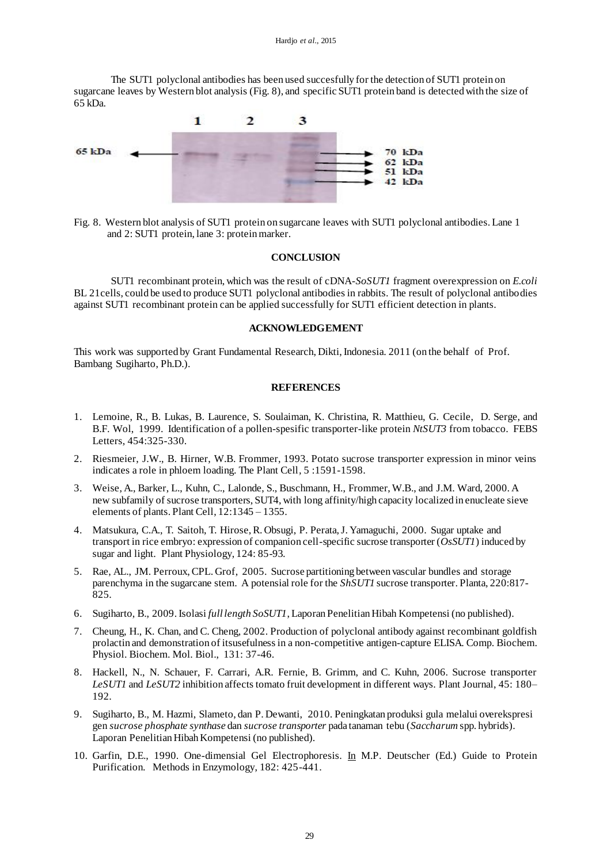The SUT1 polyclonal antibodies has been used succesfully for the detection of SUT1 protein on sugarcane leaves by Western blot analysis (Fig. 8), and specific SUT1 protein band is detected with the size of 65 kDa.



Fig. 8. Western blot analysis of SUT1 protein on sugarcane leaves with SUT1 polyclonal antibodies. Lane 1 and 2: SUT1 protein, lane 3: protein marker.

# **CONCLUSION**

 SUT1 recombinant protein, which was the result of cDNA-*SoSUT1* fragment overexpression on *E.coli* BL 21cells, could be used to produce SUT1 polyclonal antibodies in rabbits. The result of polyclonal antibodies against SUT1 recombinant protein can be applied successfully for SUT1 efficient detection in plants.

### **ACKNOWLEDGEMENT**

This work was supported by Grant Fundamental Research, Dikti, Indonesia. 2011 (on the behalf of Prof. Bambang Sugiharto, Ph.D.).

# **REFERENCES**

- 1. Lemoine, R., B. Lukas, B. Laurence, S. Soulaiman, K. Christina, R. Matthieu, G. Cecile, D. Serge, and B.F. Wol, 1999. Identification of a pollen-spesific transporter-like protein *NtSUT3* from tobacco. FEBS Letters, 454:325-330.
- 2. Riesmeier, J.W., B. Hirner, W.B. Frommer, 1993. Potato sucrose transporter expression in minor veins indicates a role in phloem loading. The Plant Cell*,* 5 :1591-1598.
- 3. Weise, A., Barker, L., Kuhn, C., Lalonde, S., Buschmann, H., Frommer, W.B., and J.M. Ward, 2000. A new subfamily of sucrose transporters, SUT4, with long affinity/high capacity localized in enucleate sieve elements of plants. Plant Cell, 12:1345 – 1355.
- 4. Matsukura, C.A., T. Saitoh, T. Hirose, R. Obsugi, P. Perata, J. Yamaguchi, 2000. Sugar uptake and transport in rice embryo: expression of companion cell-specific sucrose transporter (*OsSUT1*) induced by sugar and light. Plant Physiology, 124: 85-93.
- 5. Rae, AL., JM. Perroux, CPL. Grof, 2005. Sucrose partitioning between vascular bundles and storage parenchyma in the sugarcane stem. A potensial role for the *ShSUT1* sucrose transporter. Planta, 220:817- 825.
- 6. Sugiharto, B., 2009. Isolasi *full length SoSUT1*, Laporan Penelitian Hibah Kompetensi (no published).
- 7. Cheung, H., K. Chan, and C. Cheng, 2002. Production of polyclonal antibody against recombinant goldfish prolactin and demonstration of itsusefulness in a non-competitive antigen-capture ELISA. Comp. Biochem. Physiol. Biochem. Mol. Biol., 131: 37-46.
- 8. Hackell, N., N. Schauer, F. Carrari, A.R. Fernie, B. Grimm, and C. Kuhn, 2006. Sucrose transporter *LeSUT1* and *LeSUT2* inhibition affects tomato fruit development in different ways. Plant Journal, 45: 180– 192.
- 9. Sugiharto, B., M. Hazmi, Slameto, dan P. Dewanti, 2010. Peningkatan produksi gula melalui overekspresi gen *sucrose phosphate synthase* dan *sucrose transporter* pada tanaman tebu (*Saccharum* spp. hybrids). Laporan Penelitian Hibah Kompetensi (no published).
- 10. Garfin, D.E., 1990. One-dimensial Gel Electrophoresis. In M.P. Deutscher (Ed.) Guide to Protein Purification. Methods in Enzymology, 182: 425-441.